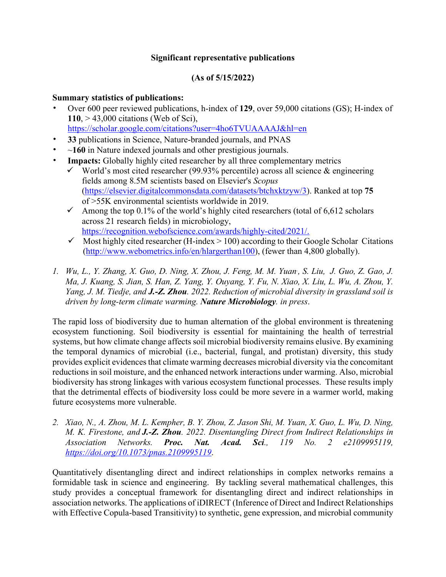# **Significant representative publications**

# **(As of 5/15/2022)**

## **Summary statistics of publications:**

- Over 600 peer reviewed publications, h-index of **129**, over 59,000 citations (GS); H-index of **110**, > 43,000 citations (Web of Sci), https://scholar.google.com/citations?user=4ho6TVUAAAAJ&hl=en
- **33** publications in Science, Nature-branded journals, and PNAS
- ~**160** in Nature indexed journals and other prestigious journals.
- **Impacts:** Globally highly cited researcher by all three complementary metrics
	- $\checkmark$  World's most cited researcher (99.93% percentile) across all science & engineering fields among 8.5M scientists based on Elsevier's *Scopus* (https://elsevier.digitalcommonsdata.com/datasets/btchxktzyw/3). Ranked at top **75** of >55K environmental scientists worldwide in 2019.
	- $\checkmark$  Among the top 0.1% of the world's highly cited researchers (total of 6,612 scholars across 21 research fields) in microbiology, https://recognition.webofscience.com/awards/highly-cited/2021/.
	- $\checkmark$  Most highly cited researcher (H-index  $> 100$ ) according to their Google Scholar Citations (http://www.webometrics.info/en/hlargerthan100), (fewer than 4,800 globally).
- 1. *Wu, L., Y. Zhang, X. Guo, D. Ning, X. Zhou, J. Feng, M. M. Yuan, S. Liu, J. Guo, Z. Gao, J. Ma, J. Kuang, S. Jian, S. Han, Z. Yang, Y. Ouyang, Y. Fu, N. Xiao, X. Liu, L. Wu, A. Zhou, Y. Yang, J. M. Tiedje, and J.-Z. Zhou. 2022. Reduction of microbial diversity in grassland soil is driven by long-term climate warming. Nature Microbiology. in press*.

The rapid loss of biodiversity due to human alternation of the global environment is threatening ecosystem functioning. Soil biodiversity is essential for maintaining the health of terrestrial systems, but how climate change affects soil microbial biodiversity remains elusive. By examining the temporal dynamics of microbial (i.e., bacterial, fungal, and protistan) diversity, this study provides explicit evidences that climate warming decreases microbial diversity via the concomitant reductions in soil moisture, and the enhanced network interactions under warming. Also, microbial biodiversity has strong linkages with various ecosystem functional processes. These results imply that the detrimental effects of biodiversity loss could be more severe in a warmer world, making future ecosystems more vulnerable.

*2. Xiao, N., A. Zhou, M. L. Kempher, B. Y. Zhou, Z. Jason Shi, M. Yuan, X. Guo, L. Wu, D. Ning, M. K. Firestone, and J.-Z. Zhou. 2022. Disentangling Direct from Indirect Relationships in Association Networks. Proc. Nat. Acad. Sci., 119 No. 2 e2109995119, https://doi.org/10.1073/pnas.2109995119*.

Quantitatively disentangling direct and indirect relationships in complex networks remains a formidable task in science and engineering. By tackling several mathematical challenges, this study provides a conceptual framework for disentangling direct and indirect relationships in association networks. The applications of iDIRECT (Inference of Direct and Indirect Relationships with Effective Copula-based Transitivity) to synthetic, gene expression, and microbial community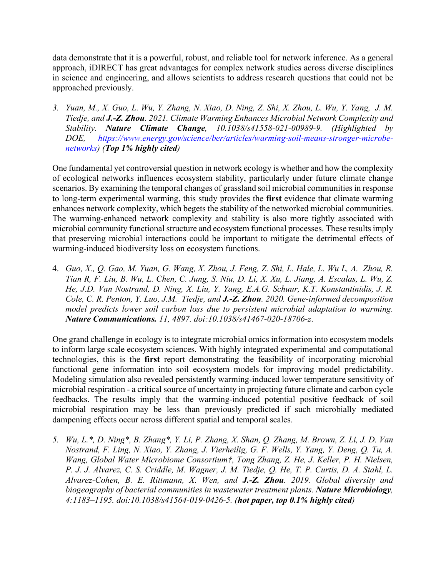data demonstrate that it is a powerful, robust, and reliable tool for network inference. As a general approach, iDIRECT has great advantages for complex network studies across diverse disciplines in science and engineering, and allows scientists to address research questions that could not be approached previously.

*3. Yuan, M., X. Guo, L. Wu, Y. Zhang, N. Xiao, D. Ning, Z. Shi, X. Zhou, L. Wu, Y. Yang, J. M. Tiedje, and J.-Z. Zhou. 2021. Climate Warming Enhances Microbial Network Complexity and Stability. Nature Climate Change, 10.1038/s41558-021-00989-9. (Highlighted by DOE, https://www.energy.gov/science/ber/articles/warming-soil-means-stronger-microbenetworks) (Top 1% highly cited)*

One fundamental yet controversial question in network ecology is whether and how the complexity of ecological networks influences ecosystem stability, particularly under future climate change scenarios. By examining the temporal changes of grassland soil microbial communities in response to long-term experimental warming, this study provides the **first** evidence that climate warming enhances network complexity, which begets the stability of the networked microbial communities. The warming-enhanced network complexity and stability is also more tightly associated with microbial community functional structure and ecosystem functional processes. These results imply that preserving microbial interactions could be important to mitigate the detrimental effects of warming-induced biodiversity loss on ecosystem functions.

4. *Guo, X., Q. Gao, M. Yuan, G. Wang, X. Zhou, J. Feng, Z. Shi, L. Hale, L. Wu L, A. Zhou, R. Tian R, F. Liu, B. Wu, L. Chen, C. Jung, S. Niu, D. Li, X. Xu, L. Jiang, A. Escalas, L. Wu, Z. He, J.D. Van Nostrand, D. Ning, X. Liu, Y. Yang, E.A.G. Schuur, K.T. Konstantinidis, J. R. Cole, C. R. Penton, Y. Luo, J.M. Tiedje, and J.-Z. Zhou. 2020. Gene-informed decomposition model predicts lower soil carbon loss due to persistent microbial adaptation to warming. Nature Communications. 11, 4897. doi:10.1038/s41467-020-18706-z*.

One grand challenge in ecology is to integrate microbial omics information into ecosystem models to inform large scale ecosystem sciences. With highly integrated experimental and computational technologies, this is the **first** report demonstrating the feasibility of incorporating microbial functional gene information into soil ecosystem models for improving model predictability. Modeling simulation also revealed persistently warming-induced lower temperature sensitivity of microbial respiration - a critical source of uncertainty in projecting future climate and carbon cycle feedbacks. The results imply that the warming-induced potential positive feedback of soil microbial respiration may be less than previously predicted if such microbially mediated dampening effects occur across different spatial and temporal scales.

*5. Wu, L.\*, D. Ning\*, B. Zhang\*, Y. Li, P. Zhang, X. Shan, Q. Zhang, M. Brown, Z. Li, J. D. Van Nostrand, F. Ling, N. Xiao, Y. Zhang, J. Vierheilig, G. F. Wells, Y. Yang, Y. Deng, Q. Tu, A. Wang, Global Water Microbiome Consortium†, Tong Zhang, Z. He, J. Keller, P. H. Nielsen, P. J. J. Alvarez, C. S. Criddle, M. Wagner, J. M. Tiedje, Q. He, T. P. Curtis, D. A. Stahl, L. Alvarez-Cohen, B. E. Rittmann, X. Wen, and J.-Z. Zhou. 2019. Global diversity and biogeography of bacterial communities in wastewater treatment plants. Nature Microbiology, 4:1183–1195. doi:10.1038/s41564-019-0426-5. (hot paper, top 0.1% highly cited)*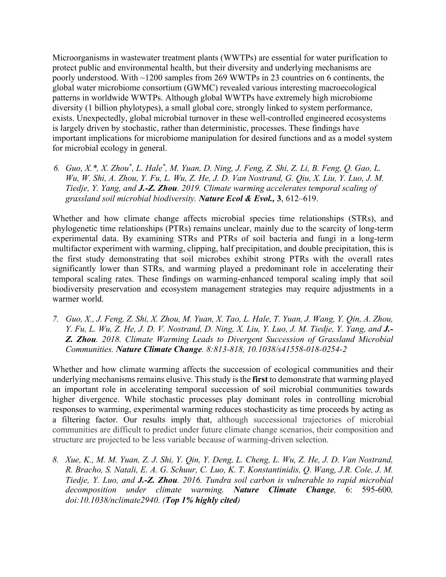Microorganisms in wastewater treatment plants (WWTPs) are essential for water purification to protect public and environmental health, but their diversity and underlying mechanisms are poorly understood. With ~1200 samples from 269 WWTPs in 23 countries on 6 continents, the global water microbiome consortium (GWMC) revealed various interesting macroecological patterns in worldwide WWTPs. Although global WWTPs have extremely high microbiome diversity (1 billion phylotypes), a small global core, strongly linked to system performance, exists. Unexpectedly, global microbial turnover in these well-controlled engineered ecosystems is largely driven by stochastic, rather than deterministic, processes. These findings have important implications for microbiome manipulation for desired functions and as a model system for microbial ecology in general.

*6. Guo, X.\*, X. Zhou\* , L. Hale\* , M. Yuan, D. Ning, J. Feng, Z. Shi, Z. Li, B. Feng, Q. Gao, L. Wu, W. Shi, A. Zhou, Y. Fu, L. Wu, Z. He, J. D. Van Nostrand, G. Qiu, X. Liu, Y. Luo, J. M. Tiedje, Y. Yang, and J.-Z. Zhou. 2019. Climate warming accelerates temporal scaling of grassland soil microbial biodiversity. Nature Ecol & Evol.,* **3**, 612–619.

Whether and how climate change affects microbial species time relationships (STRs), and phylogenetic time relationships (PTRs) remains unclear, mainly due to the scarcity of long-term experimental data. By examining STRs and PTRs of soil bacteria and fungi in a long-term multifactor experiment with warming, clipping, half precipitation, and double precipitation, this is the first study demonstrating that soil microbes exhibit strong PTRs with the overall rates significantly lower than STRs, and warming played a predominant role in accelerating their temporal scaling rates. These findings on warming-enhanced temporal scaling imply that soil biodiversity preservation and ecosystem management strategies may require adjustments in a warmer world.

*7. Guo, X., J. Feng, Z. Shi, X. Zhou, M. Yuan, X. Tao, L. Hale, T. Yuan, J. Wang, Y. Qin, A. Zhou, Y. Fu, L. Wu, Z. He, J. D. V. Nostrand, D. Ning, X. Liu, Y. Luo, J. M. Tiedje, Y. Yang, and J.- Z. Zhou. 2018. Climate Warming Leads to Divergent Succession of Grassland Microbial Communities. Nature Climate Change. 8:813-818, 10.1038/s41558-018-0254-2*

Whether and how climate warming affects the succession of ecological communities and their underlying mechanisms remains elusive. This study is the **first** to demonstrate that warming played an important role in accelerating temporal succession of soil microbial communities towards higher divergence. While stochastic processes play dominant roles in controlling microbial responses to warming, experimental warming reduces stochasticity as time proceeds by acting as a filtering factor. Our results imply that, although successional trajectories of microbial communities are difficult to predict under future climate change scenarios, their composition and structure are projected to be less variable because of warming-driven selection.

*8. Xue, K., M. M. Yuan, Z. J. Shi, Y. Qin, Y. Deng, L. Cheng, L. Wu, Z. He, J. D. Van Nostrand, R. Bracho, S. Natali, E. A. G. Schuur, C. Luo, K. T. Konstantinidis, Q. Wang, J.R. Cole, J. M. Tiedje, Y. Luo, and J.-Z. Zhou. 2016. Tundra soil carbon is vulnerable to rapid microbial decomposition under climate warming. Nature Climate Change,* 6: 595-600*, doi:10.1038/nclimate2940. (Top 1% highly cited)*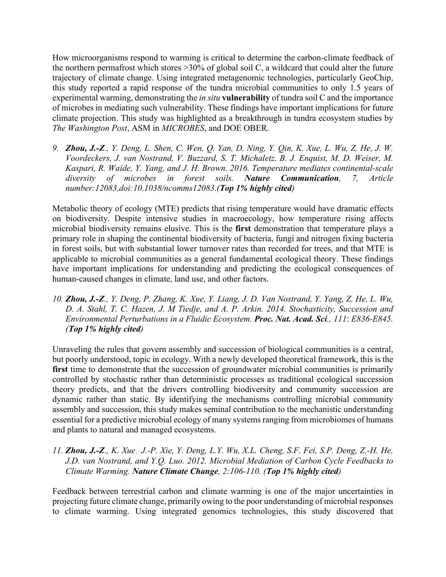How microorganisms respond to warming is critical to determine the carbon-climate feedback of the northern permafrost which stores  $>30\%$  of global soil C, a wildcard that could alter the future trajectory of climate change. Using integrated metagenomic technologies, particularly GeoChip, this study reported a rapid response of the tundra microbial communities to only 1.5 years of experimental warming, demonstrating the *in situ* **vulnerability** of tundra soil C and the importance of microbes in mediating such vulnerability. These findings have important implications for future climate projection. This study was highlighted as a breakthrough in tundra ecosystem studies by *The Washington Post*, ASM in *MICROBES*, and DOE OBER.

*9. Zhou, J.-Z., Y. Deng, L. Shen, C. Wen, Q. Yan, D. Ning, Y. Qin, K. Xue, L. Wu, Z. He, J. W. Voordeckers, J. van Nostrand, V. Buzzard, S. T. Michaletz, B. J. Enquist, M. D. Weiser, M. Kaspari, R. Waide, Y. Yang, and J. H. Brown. 2016. Temperature mediates continental-scale diversity of microbes in forest soils. Nature Communication, 7, Article number:12083,doi:10.1038/ncomms12083.(Top 1% highly cited)*

Metabolic theory of ecology (MTE) predicts that rising temperature would have dramatic effects on biodiversity. Despite intensive studies in macroecology, how temperature rising affects microbial biodiversity remains elusive. This is the **first** demonstration that temperature plays a primary role in shaping the continental biodiversity of bacteria, fungi and nitrogen fixing bacteria in forest soils, but with substantial lower turnover rates than recorded for trees, and that MTE is applicable to microbial communities as a general fundamental ecological theory. These findings have important implications for understanding and predicting the ecological consequences of human-caused changes in climate, land use, and other factors.

*10. Zhou, J.-Z., Y. Deng, P. Zhang, K. Xue, Y. Liang, J. D. Van Nostrand, Y. Yang, Z. He, L. Wu, D. A. Stahl, T. C. Hazen, J. M Tiedje, and A. P. Arkin. 2014. Stochasticity, Succession and Environmental Perturbations in a Fluidic Ecosystem. Proc. Nat. Acad. Sci., 111*: *E836-E845. (Top 1% highly cited)*

Unraveling the rules that govern assembly and succession of biological communities is a central, but poorly understood, topic in ecology. With a newly developed theoretical framework, this is the first time to demonstrate that the succession of groundwater microbial communities is primarily controlled by stochastic rather than deterministic processes as traditional ecological succession theory predicts, and that the drivers controlling biodiversity and community succession are dynamic rather than static. By identifying the mechanisms controlling microbial community assembly and succession, this study makes seminal contribution to the mechanistic understanding essential for a predictive microbial ecology of many systems ranging from microbiomes of humans and plants to natural and managed ecosystems.

*11. Zhou, J.-Z., K. Xue*, *J.-P. Xie, Y. Deng, L.Y. Wu, X.L. Cheng, S.F. Fei, S.P. Deng, Z.-H. He, J.D. van Nostrand, and Y.Q. Luo. 2012. Microbial Mediation of Carbon Cycle Feedbacks to Climate Warming. Nature Climate Change, 2:106-110. (Top 1% highly cited)*

Feedback between terrestrial carbon and climate warming is one of the major uncertainties in projecting future climate change, primarily owing to the poor understanding of microbial responses to climate warming. Using integrated genomics technologies, this study discovered that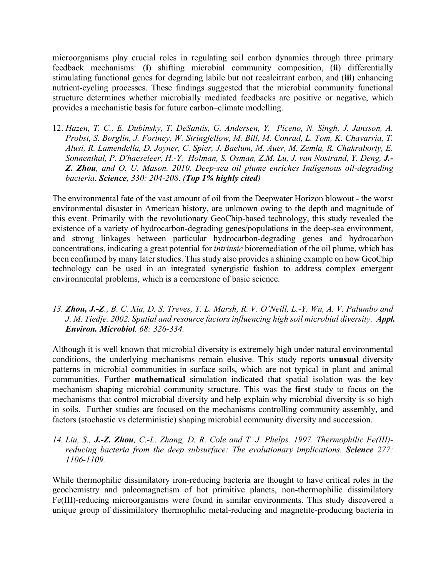microorganisms play crucial roles in regulating soil carbon dynamics through three primary feedback mechanisms: (**i**) shifting microbial community composition, (**ii**) differentially stimulating functional genes for degrading labile but not recalcitrant carbon, and (**iii**) enhancing nutrient-cycling processes. These findings suggested that the microbial community functional structure determines whether microbially mediated feedbacks are positive or negative, which provides a mechanistic basis for future carbon–climate modelling.

12. *Hazen, T. C., E. Dubinsky, T. DeSantis, G. Andersen, Y. Piceno, N. Singh, J. Jansson, A. Probst, S. Borglin, J. Fortney, W. Stringfellow, M. Bill, M. Conrad, L. Tom, K. Chavarria, T. Alusi, R. Lamendella, D. Joyner, C. Spier, J. Baelum, M. Auer, M. Zemla, R. Chakraborty, E. Sonnenthal, P. D'haeseleer, H.-Y. Holman, S. Osman, Z.M. Lu, J. van Nostrand, Y. Deng, J.- Z. Zhou, and O. U. Mason. 2010. Deep-sea oil plume enriches Indigenous oil-degrading bacteria. Science, 330: 204-208*. *(Top 1% highly cited)*

The environmental fate of the vast amount of oil from the Deepwater Horizon blowout - the worst environmental disaster in American history, are unknown owing to the depth and magnitude of this event. Primarily with the revolutionary GeoChip-based technology, this study revealed the existence of a variety of hydrocarbon-degrading genes/populations in the deep-sea environment, and strong linkages between particular hydrocarbon-degrading genes and hydrocarbon concentrations, indicating a great potential for *intrinsic* bioremediation of the oil plume, which has been confirmed by many later studies. This study also provides a shining example on how GeoChip technology can be used in an integrated synergistic fashion to address complex emergent environmental problems, which is a cornerstone of basic science.

*13. Zhou, J.-Z., B. C. Xia, D. S. Treves, T. L. Marsh, R. V. O'Neill, L.-Y. Wu, A. V. Palumbo and J. M. Tiedje. 2002. Spatial and resource factors influencing high soil microbial diversity. Appl. Environ. Microbiol. 68: 326-334.*

Although it is well known that microbial diversity is extremely high under natural environmental conditions, the underlying mechanisms remain elusive. This study reports **unusual** diversity patterns in microbial communities in surface soils, which are not typical in plant and animal communities. Further **mathematical** simulation indicated that spatial isolation was the key mechanism shaping microbial community structure. This was the **first** study to focus on the mechanisms that control microbial diversity and help explain why microbial diversity is so high in soils. Further studies are focused on the mechanisms controlling community assembly, and factors (stochastic vs deterministic) shaping microbial community diversity and succession.

## *14. Liu, S., J.-Z. Zhou, C.-L. Zhang, D. R. Cole and T. J. Phelps. 1997. Thermophilic Fe(III) reducing bacteria from the deep subsurface: The evolutionary implications. Science 277: 1106-1109.*

While thermophilic dissimilatory iron-reducing bacteria are thought to have critical roles in the geochemistry and paleomagnetism of hot primitive planets, non-thermophilic dissimilatory Fe(III)-reducing microorganisms were found in similar environments. This study discovered a unique group of dissimilatory thermophilic metal-reducing and magnetite-producing bacteria in